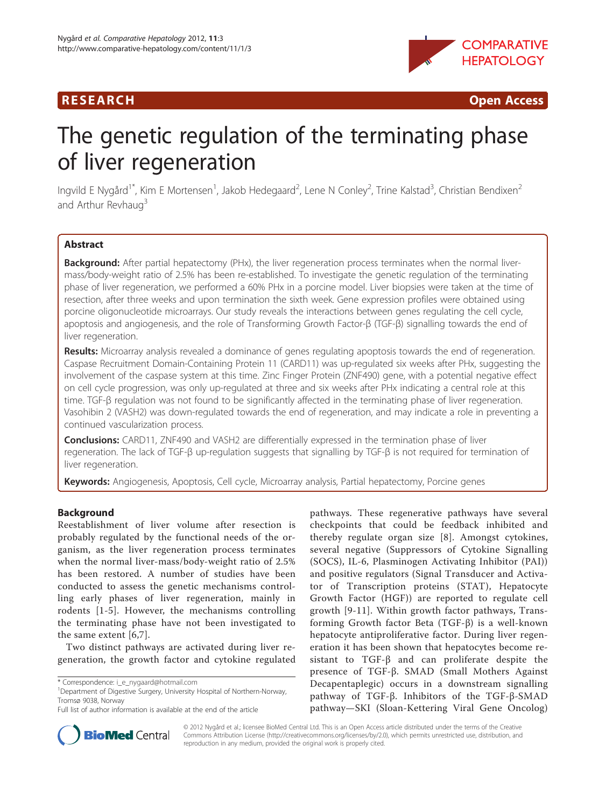

R E S EAR CH Open Access

# The genetic regulation of the terminating phase of liver regeneration

Ingvild E Nygård<sup>1\*</sup>, Kim E Mortensen<sup>1</sup>, Jakob Hedegaard<sup>2</sup>, Lene N Conley<sup>2</sup>, Trine Kalstad<sup>3</sup>, Christian Bendixen<sup>2</sup> and Arthur Revhaug<sup>3</sup>

# Abstract

Background: After partial hepatectomy (PHx), the liver regeneration process terminates when the normal livermass/body-weight ratio of 2.5% has been re-established. To investigate the genetic regulation of the terminating phase of liver regeneration, we performed a 60% PHx in a porcine model. Liver biopsies were taken at the time of resection, after three weeks and upon termination the sixth week. Gene expression profiles were obtained using porcine oligonucleotide microarrays. Our study reveals the interactions between genes regulating the cell cycle, apoptosis and angiogenesis, and the role of Transforming Growth Factor-β (TGF-β) signalling towards the end of liver regeneration.

Results: Microarray analysis revealed a dominance of genes regulating apoptosis towards the end of regeneration. Caspase Recruitment Domain-Containing Protein 11 (CARD11) was up-regulated six weeks after PHx, suggesting the involvement of the caspase system at this time. Zinc Finger Protein (ZNF490) gene, with a potential negative effect on cell cycle progression, was only up-regulated at three and six weeks after PHx indicating a central role at this time. TGF-β regulation was not found to be significantly affected in the terminating phase of liver regeneration. Vasohibin 2 (VASH2) was down-regulated towards the end of regeneration, and may indicate a role in preventing a continued vascularization process.

Conclusions: CARD11, ZNF490 and VASH2 are differentially expressed in the termination phase of liver regeneration. The lack of TGF-β up-regulation suggests that signalling by TGF-β is not required for termination of liver regeneration.

Keywords: Angiogenesis, Apoptosis, Cell cycle, Microarray analysis, Partial hepatectomy, Porcine genes

# Background

Reestablishment of liver volume after resection is probably regulated by the functional needs of the organism, as the liver regeneration process terminates when the normal liver-mass/body-weight ratio of 2.5% has been restored. A number of studies have been conducted to assess the genetic mechanisms controlling early phases of liver regeneration, mainly in rodents [[1-5\]](#page-13-0). However, the mechanisms controlling the terminating phase have not been investigated to the same extent [\[6,7](#page-13-0)].

Two distinct pathways are activated during liver regeneration, the growth factor and cytokine regulated pathways. These regenerative pathways have several checkpoints that could be feedback inhibited and thereby regulate organ size [[8](#page-13-0)]. Amongst cytokines, several negative (Suppressors of Cytokine Signalling (SOCS), IL-6, Plasminogen Activating Inhibitor (PAI)) and positive regulators (Signal Transducer and Activator of Transcription proteins (STAT), Hepatocyte Growth Factor (HGF)) are reported to regulate cell growth [[9-11\]](#page-13-0). Within growth factor pathways, Transforming Growth factor Beta (TGF-β) is a well-known hepatocyte antiproliferative factor. During liver regeneration it has been shown that hepatocytes become resistant to TGF-β and can proliferate despite the presence of TGF-β. SMAD (Small Mothers Against Decapentaplegic) occurs in a downstream signalling pathway of TGF-β. Inhibitors of the TGF-β-SMAD pathway—SKI (Sloan-Kettering Viral Gene Oncolog)



© 2012 Nygård et al.; licensee BioMed Central Ltd. This is an Open Access article distributed under the terms of the Creative Commons Attribution License [\(http://creativecommons.org/licenses/by/2.0\)](http://creativecommons.org/licenses/by/2.0), which permits unrestricted use, distribution, and reproduction in any medium, provided the original work is properly cited.

<sup>\*</sup> Correspondence: [i\\_e\\_nygaard@hotmail.com](mailto:i_e_nygaard@hotmail.com) <sup>1</sup>

<sup>&</sup>lt;sup>1</sup>Department of Digestive Surgery, University Hospital of Northern-Norway, Tromsø 9038, Norway

Full list of author information is available at the end of the article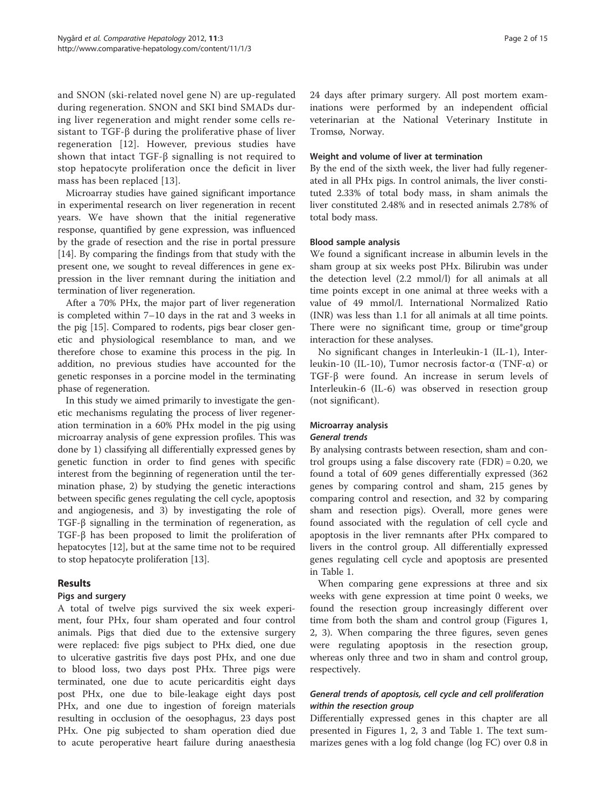and SNON (ski-related novel gene N) are up-regulated during regeneration. SNON and SKI bind SMADs during liver regeneration and might render some cells resistant to TGF-β during the proliferative phase of liver regeneration [[12](#page-13-0)]. However, previous studies have shown that intact TGF-β signalling is not required to stop hepatocyte proliferation once the deficit in liver mass has been replaced [[13\]](#page-13-0).

Microarray studies have gained significant importance in experimental research on liver regeneration in recent years. We have shown that the initial regenerative response, quantified by gene expression, was influenced by the grade of resection and the rise in portal pressure [[14\]](#page-13-0). By comparing the findings from that study with the present one, we sought to reveal differences in gene expression in the liver remnant during the initiation and termination of liver regeneration.

After a 70% PHx, the major part of liver regeneration is completed within 7–10 days in the rat and 3 weeks in the pig [[15\]](#page-13-0). Compared to rodents, pigs bear closer genetic and physiological resemblance to man, and we therefore chose to examine this process in the pig. In addition, no previous studies have accounted for the genetic responses in a porcine model in the terminating phase of regeneration.

In this study we aimed primarily to investigate the genetic mechanisms regulating the process of liver regeneration termination in a 60% PHx model in the pig using microarray analysis of gene expression profiles. This was done by 1) classifying all differentially expressed genes by genetic function in order to find genes with specific interest from the beginning of regeneration until the termination phase, 2) by studying the genetic interactions between specific genes regulating the cell cycle, apoptosis and angiogenesis, and 3) by investigating the role of TGF-β signalling in the termination of regeneration, as TGF-β has been proposed to limit the proliferation of hepatocytes [\[12](#page-13-0)], but at the same time not to be required to stop hepatocyte proliferation [[13\]](#page-13-0).

# Results

#### Pigs and surgery

A total of twelve pigs survived the six week experiment, four PHx, four sham operated and four control animals. Pigs that died due to the extensive surgery were replaced: five pigs subject to PHx died, one due to ulcerative gastritis five days post PHx, and one due to blood loss, two days post PHx. Three pigs were terminated, one due to acute pericarditis eight days post PHx, one due to bile-leakage eight days post PHx, and one due to ingestion of foreign materials resulting in occlusion of the oesophagus, 23 days post PHx. One pig subjected to sham operation died due to acute peroperative heart failure during anaesthesia 24 days after primary surgery. All post mortem examinations were performed by an independent official veterinarian at the National Veterinary Institute in Tromsø, Norway.

#### Weight and volume of liver at termination

By the end of the sixth week, the liver had fully regenerated in all PHx pigs. In control animals, the liver constituted 2.33% of total body mass, in sham animals the liver constituted 2.48% and in resected animals 2.78% of total body mass.

#### Blood sample analysis

We found a significant increase in albumin levels in the sham group at six weeks post PHx. Bilirubin was under the detection level (2.2 mmol/l) for all animals at all time points except in one animal at three weeks with a value of 49 mmol/l. International Normalized Ratio (INR) was less than 1.1 for all animals at all time points. There were no significant time, group or time\*group interaction for these analyses.

No significant changes in Interleukin-1 (IL-1), Interleukin-10 (IL-10), Tumor necrosis factor-α (TNF-α) or TGF-β were found. An increase in serum levels of Interleukin-6 (IL-6) was observed in resection group (not significant).

# Microarray analysis

#### General trends

By analysing contrasts between resection, sham and control groups using a false discovery rate  $(FDR) = 0.20$ , we found a total of 609 genes differentially expressed (362 genes by comparing control and sham, 215 genes by comparing control and resection, and 32 by comparing sham and resection pigs). Overall, more genes were found associated with the regulation of cell cycle and apoptosis in the liver remnants after PHx compared to livers in the control group. All differentially expressed genes regulating cell cycle and apoptosis are presented in Table [1.](#page-2-0)

When comparing gene expressions at three and six weeks with gene expression at time point 0 weeks, we found the resection group increasingly different over time from both the sham and control group (Figures [1](#page-3-0), [2,](#page-4-0) [3\)](#page-5-0). When comparing the three figures, seven genes were regulating apoptosis in the resection group, whereas only three and two in sham and control group, respectively.

# General trends of apoptosis, cell cycle and cell proliferation within the resection group

Differentially expressed genes in this chapter are all presented in Figures [1,](#page-3-0) [2,](#page-4-0) [3](#page-5-0) and Table [1.](#page-2-0) The text summarizes genes with a log fold change (log FC) over 0.8 in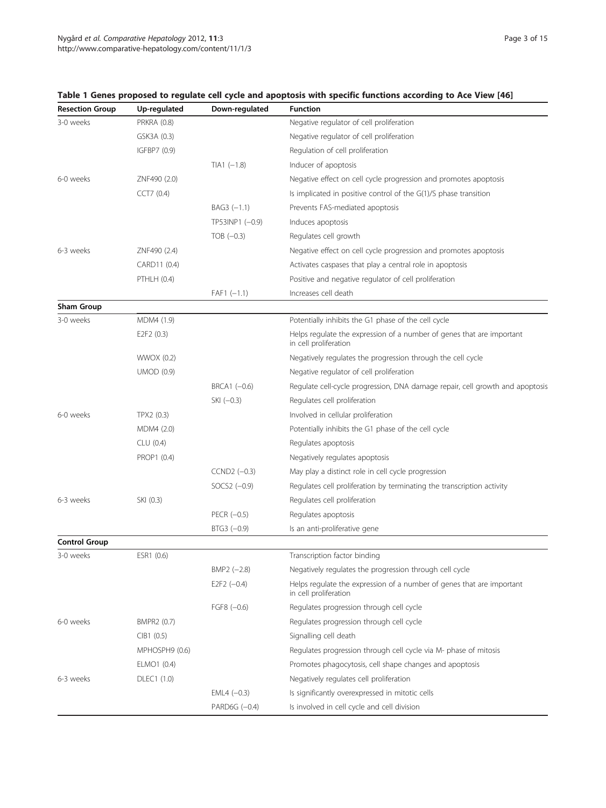| <b>Resection Group</b> | Up-regulated       | Down-regulated   | <b>Function</b>                                                                                |
|------------------------|--------------------|------------------|------------------------------------------------------------------------------------------------|
| 3-0 weeks              | <b>PRKRA (0.8)</b> |                  | Negative regulator of cell proliferation                                                       |
|                        | GSK3A (0.3)        |                  | Negative regulator of cell proliferation                                                       |
|                        | IGFBP7 (0.9)       |                  | Regulation of cell proliferation                                                               |
|                        |                    | $TIA1$ $(-1.8)$  | Inducer of apoptosis                                                                           |
| 6-0 weeks              | ZNF490 (2.0)       |                  | Negative effect on cell cycle progression and promotes apoptosis                               |
|                        | $CCT7$ (0.4)       |                  | Is implicated in positive control of the G(1)/S phase transition                               |
|                        |                    | $BAG3 (-1.1)$    | Prevents FAS-mediated apoptosis                                                                |
|                        |                    | TP53INP1 (-0.9)  | Induces apoptosis                                                                              |
|                        |                    | $TOB (-0.3)$     | Regulates cell growth                                                                          |
| 6-3 weeks              | ZNF490 (2.4)       |                  | Negative effect on cell cycle progression and promotes apoptosis                               |
|                        | CARD11 (0.4)       |                  | Activates caspases that play a central role in apoptosis                                       |
|                        | PTHLH (0.4)        |                  | Positive and negative regulator of cell proliferation                                          |
|                        |                    | $FAF1 (-1.1)$    | Increases cell death                                                                           |
| <b>Sham Group</b>      |                    |                  |                                                                                                |
| 3-0 weeks              | MDM4 (1.9)         |                  | Potentially inhibits the G1 phase of the cell cycle                                            |
|                        | E2F2 (0.3)         |                  | Helps regulate the expression of a number of genes that are important<br>in cell proliferation |
|                        | WWOX (0.2)         |                  | Negatively regulates the progression through the cell cycle                                    |
|                        | <b>UMOD</b> (0.9)  |                  | Negative regulator of cell proliferation                                                       |
|                        |                    | BRCA1 (-0.6)     | Regulate cell-cycle progression, DNA damage repair, cell growth and apoptosis                  |
|                        |                    | $SKI (-0.3)$     | Regulates cell proliferation                                                                   |
| 6-0 weeks              | TPX2 (0.3)         |                  | Involved in cellular proliferation                                                             |
|                        | MDM4 (2.0)         |                  | Potentially inhibits the G1 phase of the cell cycle                                            |
|                        | CLU (0.4)          |                  | Regulates apoptosis                                                                            |
|                        | PROP1 (0.4)        |                  | Negatively regulates apoptosis                                                                 |
|                        |                    | $CCND2 (-0.3)$   | May play a distinct role in cell cycle progression                                             |
|                        |                    | $SOCS2$ $(-0.9)$ | Regulates cell proliferation by terminating the transcription activity                         |
| 6-3 weeks              | SKI (0.3)          |                  | Regulates cell proliferation                                                                   |
|                        |                    | PECR $(-0.5)$    | Regulates apoptosis                                                                            |
|                        |                    | $BTG3 (-0.9)$    | Is an anti-proliferative gene                                                                  |
| <b>Control Group</b>   |                    |                  |                                                                                                |
| 3-0 weeks              | ESR1 (0.6)         |                  | Transcription factor binding                                                                   |
|                        |                    | $BMP2$ (-2.8)    | Negatively regulates the progression through cell cycle                                        |
|                        |                    | E2F2 $(-0.4)$    | Helps regulate the expression of a number of genes that are important<br>in cell proliferation |
|                        |                    | FGF8 $(-0.6)$    | Regulates progression through cell cycle                                                       |
| 6-0 weeks              | BMPR2 (0.7)        |                  | Regulates progression through cell cycle                                                       |
|                        | $CIB1$ (0.5)       |                  | Signalling cell death                                                                          |
|                        | MPHOSPH9 (0.6)     |                  | Regulates progression through cell cycle via M- phase of mitosis                               |
|                        | ELMO1 (0.4)        |                  | Promotes phagocytosis, cell shape changes and apoptosis                                        |
| 6-3 weeks              | DLEC1 (1.0)        |                  | Negatively regulates cell proliferation                                                        |
|                        |                    | $EML4 (-0.3)$    | Is significantly overexpressed in mitotic cells                                                |
|                        |                    | PARD6G (-0.4)    | Is involved in cell cycle and cell division                                                    |

# <span id="page-2-0"></span>Table 1 Genes proposed to regulate cell cycle and apoptosis with specific functions according to Ace View [[46\]](#page-14-0)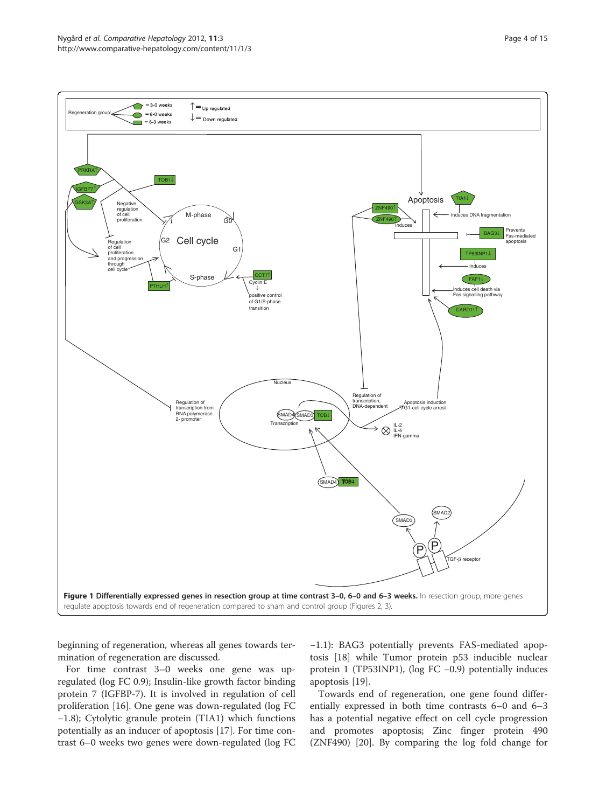$= 3 - 0$  weeks ⌒

 $= 6 - 0$  weeks

↑

Regeneration group:



<span id="page-3-0"></span>

beginning of regeneration, whereas all genes towards termination of regeneration are discussed.

For time contrast 3–0 weeks one gene was upregulated (log FC 0.9); Insulin-like growth factor binding protein 7 (IGFBP-7). It is involved in regulation of cell proliferation [[16\]](#page-13-0). One gene was down-regulated (log FC −1.8); Cytolytic granule protein (TIA1) which functions potentially as an inducer of apoptosis [[17\]](#page-13-0). For time contrast 6–0 weeks two genes were down-regulated (log FC

−1.1): BAG3 potentially prevents FAS-mediated apoptosis [[18](#page-13-0)] while Tumor protein p53 inducible nuclear protein 1 (TP53INP1), (log FC −0.9) potentially induces apoptosis [\[19\]](#page-13-0).

Towards end of regeneration, one gene found differentially expressed in both time contrasts 6–0 and 6–3 has a potential negative effect on cell cycle progression and promotes apoptosis; Zinc finger protein 490 (ZNF490) [[20\]](#page-13-0). By comparing the log fold change for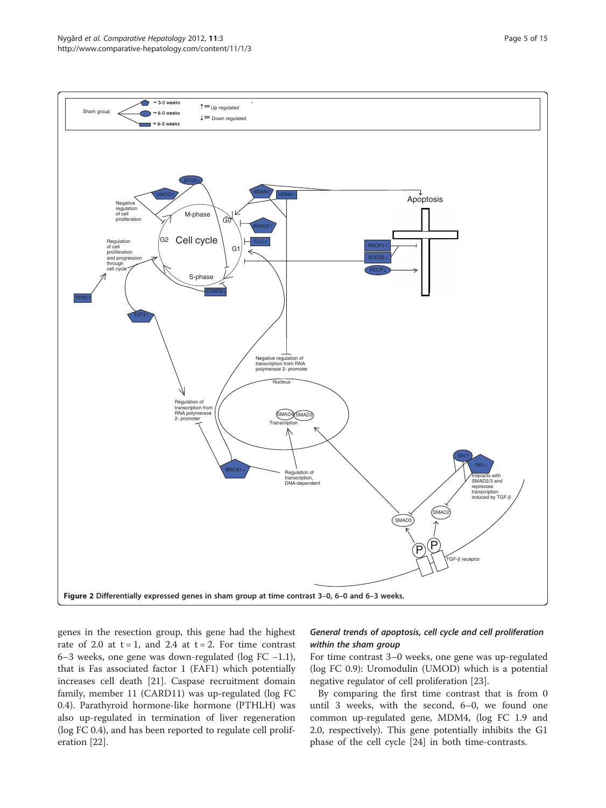<span id="page-4-0"></span>

genes in the resection group, this gene had the highest rate of 2.0 at  $t = 1$ , and 2.4 at  $t = 2$ . For time contrast 6–3 weeks, one gene was down-regulated (log FC −1.1), that is Fas associated factor 1 (FAF1) which potentially increases cell death [\[21\]](#page-13-0). Caspase recruitment domain family, member 11 (CARD11) was up-regulated (log FC 0.4). Parathyroid hormone-like hormone (PTHLH) was also up-regulated in termination of liver regeneration (log FC 0.4), and has been reported to regulate cell proliferation [\[22](#page-13-0)].

# General trends of apoptosis, cell cycle and cell proliferation within the sham group

For time contrast 3–0 weeks, one gene was up-regulated (log FC 0.9): Uromodulin (UMOD) which is a potential negative regulator of cell proliferation [[23\]](#page-13-0).

By comparing the first time contrast that is from 0 until 3 weeks, with the second, 6–0, we found one common up-regulated gene, MDM4, (log FC 1.9 and 2.0, respectively). This gene potentially inhibits the G1 phase of the cell cycle [[24\]](#page-13-0) in both time-contrasts.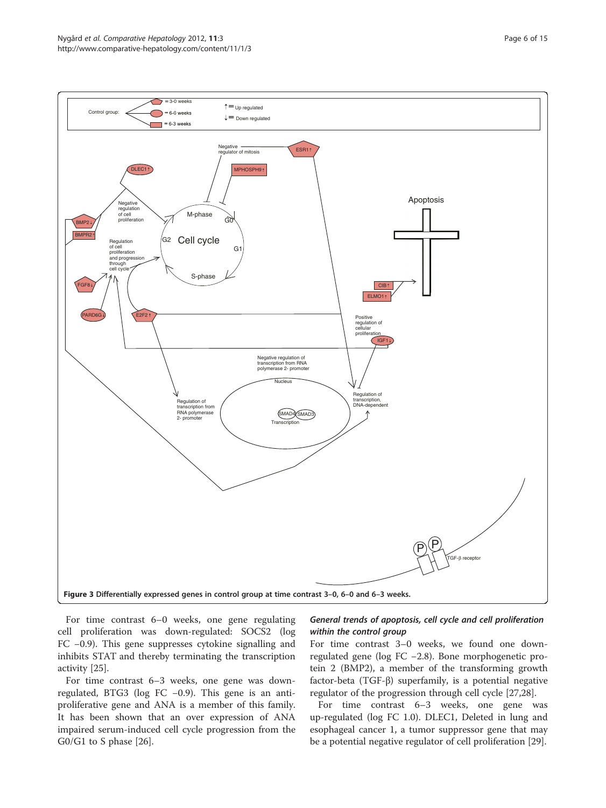

<span id="page-5-0"></span>

For time contrast 6–0 weeks, one gene regulating cell proliferation was down-regulated: SOCS2 (log FC −0.9). This gene suppresses cytokine signalling and inhibits STAT and thereby terminating the transcription activity [[25\]](#page-13-0).

For time contrast 6–3 weeks, one gene was downregulated, BTG3 (log FC −0.9). This gene is an antiproliferative gene and ANA is a member of this family. It has been shown that an over expression of ANA impaired serum-induced cell cycle progression from the G0/G1 to S phase [\[26\]](#page-13-0).

# General trends of apoptosis, cell cycle and cell proliferation within the control group

For time contrast 3–0 weeks, we found one downregulated gene (log FC −2.8). Bone morphogenetic protein 2 (BMP2), a member of the transforming growth factor-beta (TGF-β) superfamily, is a potential negative regulator of the progression through cell cycle [\[27,28](#page-13-0)].

For time contrast 6–3 weeks, one gene was up-regulated (log FC 1.0). DLEC1, Deleted in lung and esophageal cancer 1, a tumor suppressor gene that may be a potential negative regulator of cell proliferation [\[29\]](#page-13-0).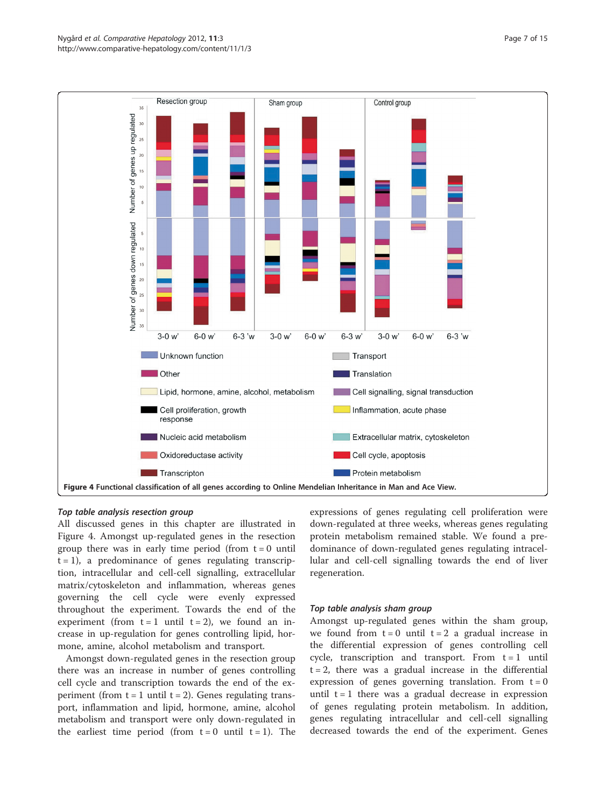

#### Top table analysis resection group

All discussed genes in this chapter are illustrated in Figure 4. Amongst up-regulated genes in the resection group there was in early time period (from  $t = 0$  until  $t = 1$ ), a predominance of genes regulating transcription, intracellular and cell-cell signalling, extracellular matrix/cytoskeleton and inflammation, whereas genes governing the cell cycle were evenly expressed throughout the experiment. Towards the end of the experiment (from  $t = 1$  until  $t = 2$ ), we found an increase in up-regulation for genes controlling lipid, hormone, amine, alcohol metabolism and transport.

Amongst down-regulated genes in the resection group there was an increase in number of genes controlling cell cycle and transcription towards the end of the experiment (from  $t = 1$  until  $t = 2$ ). Genes regulating transport, inflammation and lipid, hormone, amine, alcohol metabolism and transport were only down-regulated in the earliest time period (from  $t = 0$  until  $t = 1$ ). The expressions of genes regulating cell proliferation were down-regulated at three weeks, whereas genes regulating protein metabolism remained stable. We found a predominance of down-regulated genes regulating intracellular and cell-cell signalling towards the end of liver regeneration.

#### Top table analysis sham group

Amongst up-regulated genes within the sham group, we found from  $t = 0$  until  $t = 2$  a gradual increase in the differential expression of genes controlling cell cycle, transcription and transport. From  $t = 1$  until  $t = 2$ , there was a gradual increase in the differential expression of genes governing translation. From  $t = 0$ until  $t = 1$  there was a gradual decrease in expression of genes regulating protein metabolism. In addition, genes regulating intracellular and cell-cell signalling decreased towards the end of the experiment. Genes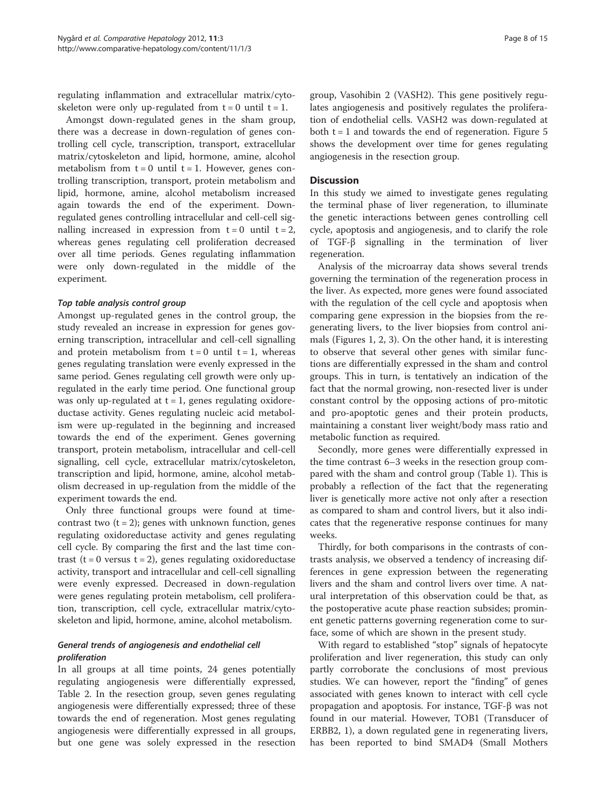regulating inflammation and extracellular matrix/cytoskeleton were only up-regulated from  $t = 0$  until  $t = 1$ .

Amongst down-regulated genes in the sham group, there was a decrease in down-regulation of genes controlling cell cycle, transcription, transport, extracellular matrix/cytoskeleton and lipid, hormone, amine, alcohol metabolism from  $t = 0$  until  $t = 1$ . However, genes controlling transcription, transport, protein metabolism and lipid, hormone, amine, alcohol metabolism increased again towards the end of the experiment. Downregulated genes controlling intracellular and cell-cell signalling increased in expression from  $t = 0$  until  $t = 2$ , whereas genes regulating cell proliferation decreased over all time periods. Genes regulating inflammation were only down-regulated in the middle of the experiment.

# Top table analysis control group

Amongst up-regulated genes in the control group, the study revealed an increase in expression for genes governing transcription, intracellular and cell-cell signalling and protein metabolism from  $t = 0$  until  $t = 1$ , whereas genes regulating translation were evenly expressed in the same period. Genes regulating cell growth were only upregulated in the early time period. One functional group was only up-regulated at  $t = 1$ , genes regulating oxidoreductase activity. Genes regulating nucleic acid metabolism were up-regulated in the beginning and increased towards the end of the experiment. Genes governing transport, protein metabolism, intracellular and cell-cell signalling, cell cycle, extracellular matrix/cytoskeleton, transcription and lipid, hormone, amine, alcohol metabolism decreased in up-regulation from the middle of the experiment towards the end.

Only three functional groups were found at timecontrast two  $(t = 2)$ ; genes with unknown function, genes regulating oxidoreductase activity and genes regulating cell cycle. By comparing the first and the last time contrast ( $t = 0$  versus  $t = 2$ ), genes regulating oxidoreductase activity, transport and intracellular and cell-cell signalling were evenly expressed. Decreased in down-regulation were genes regulating protein metabolism, cell proliferation, transcription, cell cycle, extracellular matrix/cytoskeleton and lipid, hormone, amine, alcohol metabolism.

# General trends of angiogenesis and endothelial cell proliferation

In all groups at all time points, 24 genes potentially regulating angiogenesis were differentially expressed, Table [2.](#page-8-0) In the resection group, seven genes regulating angiogenesis were differentially expressed; three of these towards the end of regeneration. Most genes regulating angiogenesis were differentially expressed in all groups, but one gene was solely expressed in the resection

group, Vasohibin 2 (VASH2). This gene positively regulates angiogenesis and positively regulates the proliferation of endothelial cells. VASH2 was down-regulated at both  $t = 1$  and towards the end of regeneration. Figure [5](#page-9-0) shows the development over time for genes regulating angiogenesis in the resection group.

### **Discussion**

In this study we aimed to investigate genes regulating the terminal phase of liver regeneration, to illuminate the genetic interactions between genes controlling cell cycle, apoptosis and angiogenesis, and to clarify the role of TGF-β signalling in the termination of liver regeneration.

Analysis of the microarray data shows several trends governing the termination of the regeneration process in the liver. As expected, more genes were found associated with the regulation of the cell cycle and apoptosis when comparing gene expression in the biopsies from the regenerating livers, to the liver biopsies from control animals (Figures [1](#page-3-0), [2](#page-4-0), [3](#page-5-0)). On the other hand, it is interesting to observe that several other genes with similar functions are differentially expressed in the sham and control groups. This in turn, is tentatively an indication of the fact that the normal growing, non-resected liver is under constant control by the opposing actions of pro-mitotic and pro-apoptotic genes and their protein products, maintaining a constant liver weight/body mass ratio and metabolic function as required.

Secondly, more genes were differentially expressed in the time contrast 6–3 weeks in the resection group compared with the sham and control group (Table [1\)](#page-2-0). This is probably a reflection of the fact that the regenerating liver is genetically more active not only after a resection as compared to sham and control livers, but it also indicates that the regenerative response continues for many weeks.

Thirdly, for both comparisons in the contrasts of contrasts analysis, we observed a tendency of increasing differences in gene expression between the regenerating livers and the sham and control livers over time. A natural interpretation of this observation could be that, as the postoperative acute phase reaction subsides; prominent genetic patterns governing regeneration come to surface, some of which are shown in the present study.

With regard to established "stop" signals of hepatocyte proliferation and liver regeneration, this study can only partly corroborate the conclusions of most previous studies. We can however, report the "finding" of genes associated with genes known to interact with cell cycle propagation and apoptosis. For instance, TGF-β was not found in our material. However, TOB1 (Transducer of ERBB2, 1), a down regulated gene in regenerating livers, has been reported to bind SMAD4 (Small Mothers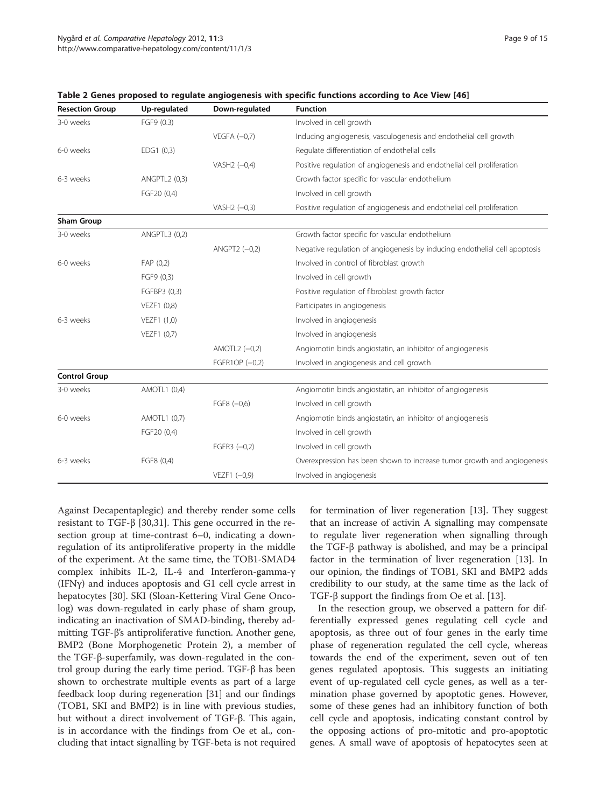| <b>Resection Group</b> | Up-regulated  | Down-regulated             | <b>Function</b>                                                            |
|------------------------|---------------|----------------------------|----------------------------------------------------------------------------|
| 3-0 weeks              | FGF9 (0.3)    |                            | Involved in cell growth                                                    |
|                        |               | $VEGFA$ $(-0,7)$           | Inducing angiogenesis, vasculogenesis and endothelial cell growth          |
| 6-0 weeks              | EDG1 (0,3)    |                            | Regulate differentiation of endothelial cells                              |
|                        |               | VASH <sub>2</sub> $(-0,4)$ | Positive regulation of angiogenesis and endothelial cell proliferation     |
| 6-3 weeks              | ANGPTL2 (0,3) |                            | Growth factor specific for vascular endothelium                            |
|                        | FGF20 (0,4)   |                            | Involved in cell growth                                                    |
|                        |               | VASH2 $(-0,3)$             | Positive regulation of angiogenesis and endothelial cell proliferation     |
| <b>Sham Group</b>      |               |                            |                                                                            |
| 3-0 weeks              | ANGPTL3 (0,2) |                            | Growth factor specific for vascular endothelium                            |
|                        |               | ANGPT2 $(-0,2)$            | Negative regulation of angiogenesis by inducing endothelial cell apoptosis |
| 6-0 weeks              | FAP(0,2)      |                            | Involved in control of fibroblast growth                                   |
|                        | FGF9 (0,3)    |                            | Involved in cell growth                                                    |
|                        | FGFBP3 (0,3)  |                            | Positive regulation of fibroblast growth factor                            |
|                        | VEZF1 (0,8)   |                            | Participates in angiogenesis                                               |
| 6-3 weeks              | VEZF1 (1,0)   |                            | Involved in angiogenesis                                                   |
|                        | VEZF1 (0,7)   |                            | Involved in angiogenesis                                                   |
|                        |               | AMOTL2 $(-0,2)$            | Angiomotin binds angiostatin, an inhibitor of angiogenesis                 |
|                        |               | FGFR1OP (-0,2)             | Involved in angiogenesis and cell growth                                   |
| <b>Control Group</b>   |               |                            |                                                                            |
| 3-0 weeks              | AMOTL1 (0,4)  |                            | Angiomotin binds angiostatin, an inhibitor of angiogenesis                 |
|                        |               | $FGF8 (-0,6)$              | Involved in cell growth                                                    |
| 6-0 weeks              | AMOTL1 (0,7)  |                            | Angiomotin binds angiostatin, an inhibitor of angiogenesis                 |
|                        | FGF20 (0,4)   |                            | Involved in cell growth                                                    |
|                        |               | $FGFR3 (-0,2)$             | Involved in cell growth                                                    |
| 6-3 weeks              | FGF8 (0,4)    |                            | Overexpression has been shown to increase tumor growth and angiogenesis    |
|                        |               | $VEZF1 (-0,9)$             | Involved in angiogenesis                                                   |
|                        |               |                            |                                                                            |

<span id="page-8-0"></span>Table 2 Genes proposed to regulate angiogenesis with specific functions according to Ace View [[46\]](#page-14-0)

Against Decapentaplegic) and thereby render some cells resistant to TGF-β [\[30,31](#page-13-0)]. This gene occurred in the resection group at time-contrast 6–0, indicating a downregulation of its antiproliferative property in the middle of the experiment. At the same time, the TOB1-SMAD4 complex inhibits IL-2, IL-4 and Interferon-gamma-γ (IFNγ) and induces apoptosis and G1 cell cycle arrest in hepatocytes [[30](#page-13-0)]. SKI (Sloan-Kettering Viral Gene Oncolog) was down-regulated in early phase of sham group, indicating an inactivation of SMAD-binding, thereby admitting TGF-β's antiproliferative function. Another gene, BMP2 (Bone Morphogenetic Protein 2), a member of the TGF-β-superfamily, was down-regulated in the control group during the early time period. TGF-β has been shown to orchestrate multiple events as part of a large feedback loop during regeneration [[31](#page-13-0)] and our findings (TOB1, SKI and BMP2) is in line with previous studies, but without a direct involvement of TGF-β. This again, is in accordance with the findings from Oe et al., concluding that intact signalling by TGF-beta is not required for termination of liver regeneration [[13\]](#page-13-0). They suggest that an increase of activin A signalling may compensate to regulate liver regeneration when signalling through the TGF-β pathway is abolished, and may be a principal factor in the termination of liver regeneration [\[13\]](#page-13-0). In our opinion, the findings of TOB1, SKI and BMP2 adds credibility to our study, at the same time as the lack of TGF-β support the findings from Oe et al. [\[13\]](#page-13-0).

In the resection group, we observed a pattern for differentially expressed genes regulating cell cycle and apoptosis, as three out of four genes in the early time phase of regeneration regulated the cell cycle, whereas towards the end of the experiment, seven out of ten genes regulated apoptosis. This suggests an initiating event of up-regulated cell cycle genes, as well as a termination phase governed by apoptotic genes. However, some of these genes had an inhibitory function of both cell cycle and apoptosis, indicating constant control by the opposing actions of pro-mitotic and pro-apoptotic genes. A small wave of apoptosis of hepatocytes seen at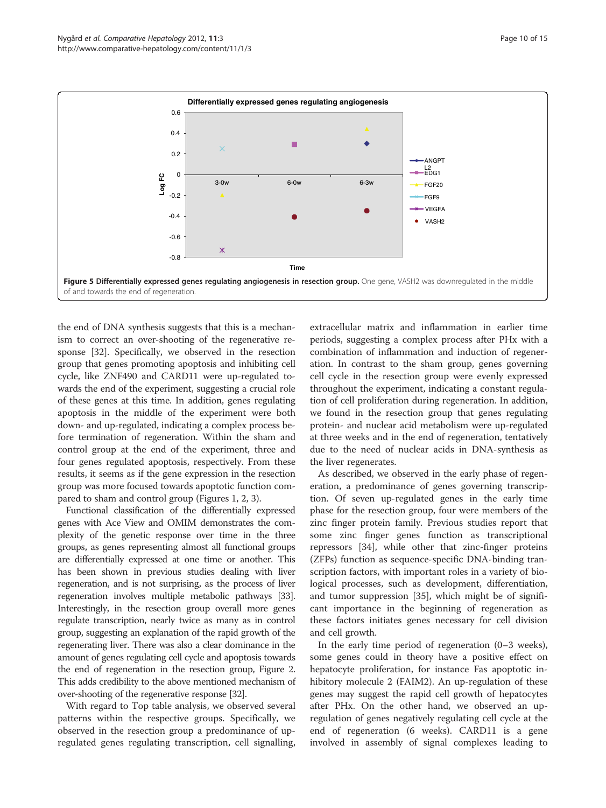<span id="page-9-0"></span>

the end of DNA synthesis suggests that this is a mechanism to correct an over-shooting of the regenerative response [[32](#page-13-0)]. Specifically, we observed in the resection group that genes promoting apoptosis and inhibiting cell cycle, like ZNF490 and CARD11 were up-regulated towards the end of the experiment, suggesting a crucial role of these genes at this time. In addition, genes regulating apoptosis in the middle of the experiment were both down- and up-regulated, indicating a complex process before termination of regeneration. Within the sham and control group at the end of the experiment, three and four genes regulated apoptosis, respectively. From these results, it seems as if the gene expression in the resection group was more focused towards apoptotic function compared to sham and control group (Figures [1](#page-3-0), [2](#page-4-0), [3\)](#page-5-0).

Functional classification of the differentially expressed genes with Ace View and OMIM demonstrates the complexity of the genetic response over time in the three groups, as genes representing almost all functional groups are differentially expressed at one time or another. This has been shown in previous studies dealing with liver regeneration, and is not surprising, as the process of liver regeneration involves multiple metabolic pathways [\[33](#page-13-0)]. Interestingly, in the resection group overall more genes regulate transcription, nearly twice as many as in control group, suggesting an explanation of the rapid growth of the regenerating liver. There was also a clear dominance in the amount of genes regulating cell cycle and apoptosis towards the end of regeneration in the resection group, Figure [2](#page-4-0). This adds credibility to the above mentioned mechanism of over-shooting of the regenerative response [\[32\]](#page-13-0).

With regard to Top table analysis, we observed several patterns within the respective groups. Specifically, we observed in the resection group a predominance of upregulated genes regulating transcription, cell signalling,

extracellular matrix and inflammation in earlier time periods, suggesting a complex process after PHx with a combination of inflammation and induction of regeneration. In contrast to the sham group, genes governing cell cycle in the resection group were evenly expressed throughout the experiment, indicating a constant regulation of cell proliferation during regeneration. In addition, we found in the resection group that genes regulating protein- and nuclear acid metabolism were up-regulated at three weeks and in the end of regeneration, tentatively due to the need of nuclear acids in DNA-synthesis as the liver regenerates.

As described, we observed in the early phase of regeneration, a predominance of genes governing transcription. Of seven up-regulated genes in the early time phase for the resection group, four were members of the zinc finger protein family. Previous studies report that some zinc finger genes function as transcriptional repressors [[34](#page-13-0)], while other that zinc-finger proteins (ZFPs) function as sequence-specific DNA-binding transcription factors, with important roles in a variety of biological processes, such as development, differentiation, and tumor suppression [\[35\]](#page-13-0), which might be of significant importance in the beginning of regeneration as these factors initiates genes necessary for cell division and cell growth.

In the early time period of regeneration (0–3 weeks), some genes could in theory have a positive effect on hepatocyte proliferation, for instance Fas apoptotic inhibitory molecule 2 (FAIM2). An up-regulation of these genes may suggest the rapid cell growth of hepatocytes after PHx. On the other hand, we observed an upregulation of genes negatively regulating cell cycle at the end of regeneration (6 weeks). CARD11 is a gene involved in assembly of signal complexes leading to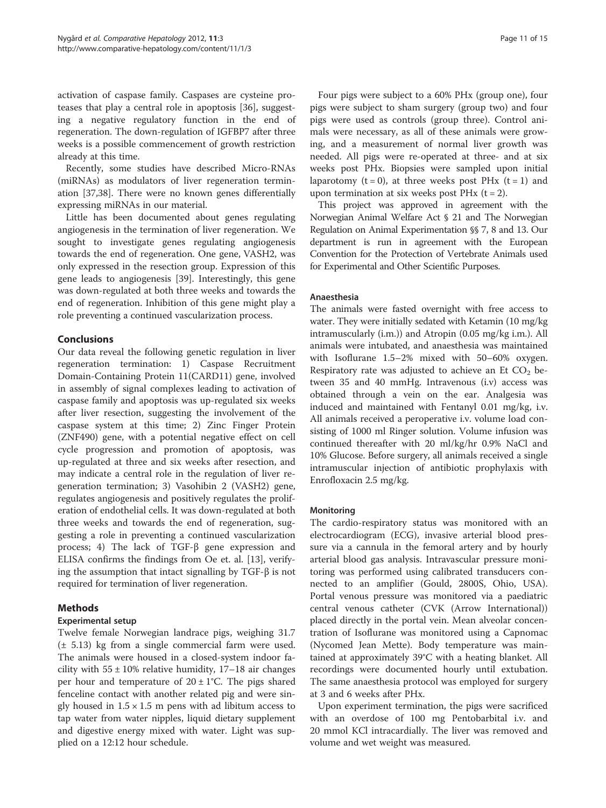activation of caspase family. Caspases are cysteine proteases that play a central role in apoptosis [[36\]](#page-13-0), suggesting a negative regulatory function in the end of regeneration. The down-regulation of IGFBP7 after three weeks is a possible commencement of growth restriction already at this time.

Recently, some studies have described Micro-RNAs (miRNAs) as modulators of liver regeneration termination [\[37,38](#page-14-0)]. There were no known genes differentially expressing miRNAs in our material.

Little has been documented about genes regulating angiogenesis in the termination of liver regeneration. We sought to investigate genes regulating angiogenesis towards the end of regeneration. One gene, VASH2, was only expressed in the resection group. Expression of this gene leads to angiogenesis [[39\]](#page-14-0). Interestingly, this gene was down-regulated at both three weeks and towards the end of regeneration. Inhibition of this gene might play a role preventing a continued vascularization process.

# Conclusions

Our data reveal the following genetic regulation in liver regeneration termination: 1) Caspase Recruitment Domain-Containing Protein 11(CARD11) gene, involved in assembly of signal complexes leading to activation of caspase family and apoptosis was up-regulated six weeks after liver resection, suggesting the involvement of the caspase system at this time; 2) Zinc Finger Protein (ZNF490) gene, with a potential negative effect on cell cycle progression and promotion of apoptosis, was up-regulated at three and six weeks after resection, and may indicate a central role in the regulation of liver regeneration termination; 3) Vasohibin 2 (VASH2) gene, regulates angiogenesis and positively regulates the proliferation of endothelial cells. It was down-regulated at both three weeks and towards the end of regeneration, suggesting a role in preventing a continued vascularization process; 4) The lack of TGF-β gene expression and ELISA confirms the findings from Oe et. al. [[13\]](#page-13-0), verifying the assumption that intact signalling by TGF- $β$  is not required for termination of liver regeneration.

# Methods

# Experimental setup

Twelve female Norwegian landrace pigs, weighing 31.7 (± 5.13) kg from a single commercial farm were used. The animals were housed in a closed-system indoor facility with  $55 \pm 10\%$  relative humidity,  $17-18$  air changes per hour and temperature of  $20 \pm 1$ °C. The pigs shared fenceline contact with another related pig and were singly housed in  $1.5 \times 1.5$  m pens with ad libitum access to tap water from water nipples, liquid dietary supplement and digestive energy mixed with water. Light was supplied on a 12:12 hour schedule.

Four pigs were subject to a 60% PHx (group one), four pigs were subject to sham surgery (group two) and four pigs were used as controls (group three). Control animals were necessary, as all of these animals were growing, and a measurement of normal liver growth was needed. All pigs were re-operated at three- and at six weeks post PHx. Biopsies were sampled upon initial laparotomy  $(t = 0)$ , at three weeks post PHx  $(t = 1)$  and upon termination at six weeks post  $PHx$  (t = 2).

This project was approved in agreement with the Norwegian Animal Welfare Act § 21 and The Norwegian Regulation on Animal Experimentation §§ 7, 8 and 13. Our department is run in agreement with the European Convention for the Protection of Vertebrate Animals used for Experimental and Other Scientific Purposes.

# Anaesthesia

The animals were fasted overnight with free access to water. They were initially sedated with Ketamin (10 mg/kg intramuscularly (i.m.)) and Atropin (0.05 mg/kg i.m.). All animals were intubated, and anaesthesia was maintained with Isoflurane 1.5–2% mixed with 50–60% oxygen. Respiratory rate was adjusted to achieve an Et  $CO<sub>2</sub>$  between 35 and 40 mmHg. Intravenous (i.v) access was obtained through a vein on the ear. Analgesia was induced and maintained with Fentanyl 0.01 mg/kg, i.v. All animals received a peroperative i.v. volume load consisting of 1000 ml Ringer solution. Volume infusion was continued thereafter with 20 ml/kg/hr 0.9% NaCl and 10% Glucose. Before surgery, all animals received a single intramuscular injection of antibiotic prophylaxis with Enrofloxacin 2.5 mg/kg.

# **Monitoring**

The cardio-respiratory status was monitored with an electrocardiogram (ECG), invasive arterial blood pressure via a cannula in the femoral artery and by hourly arterial blood gas analysis. Intravascular pressure monitoring was performed using calibrated transducers connected to an amplifier (Gould, 2800S, Ohio, USA). Portal venous pressure was monitored via a paediatric central venous catheter (CVK (Arrow International)) placed directly in the portal vein. Mean alveolar concentration of Isoflurane was monitored using a Capnomac (Nycomed Jean Mette). Body temperature was maintained at approximately 39°C with a heating blanket. All recordings were documented hourly until extubation. The same anaesthesia protocol was employed for surgery at 3 and 6 weeks after PHx.

Upon experiment termination, the pigs were sacrificed with an overdose of 100 mg Pentobarbital i.v. and 20 mmol KCl intracardially. The liver was removed and volume and wet weight was measured.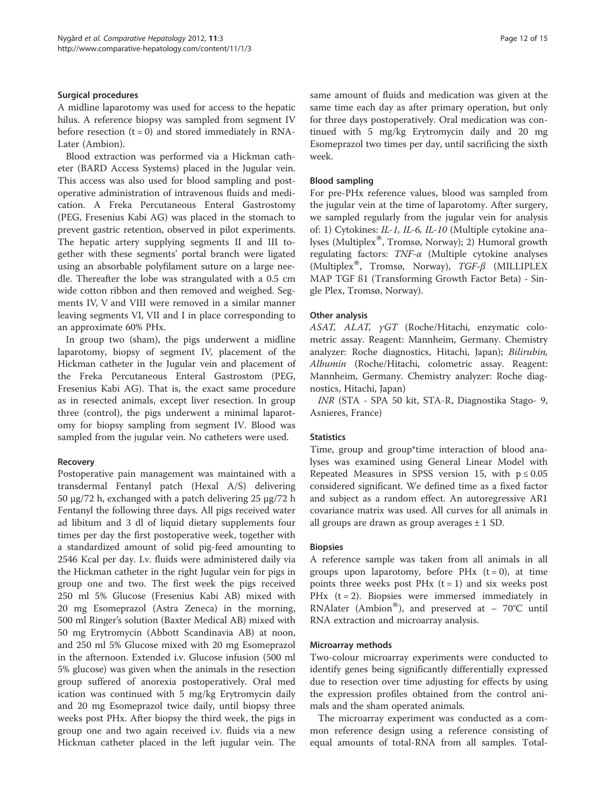#### Surgical procedures

A midline laparotomy was used for access to the hepatic hilus. A reference biopsy was sampled from segment IV before resection  $(t = 0)$  and stored immediately in RNA-Later (Ambion).

Blood extraction was performed via a Hickman catheter (BARD Access Systems) placed in the Jugular vein. This access was also used for blood sampling and postoperative administration of intravenous fluids and medication. A Freka Percutaneous Enteral Gastrostomy (PEG, Fresenius Kabi AG) was placed in the stomach to prevent gastric retention, observed in pilot experiments. The hepatic artery supplying segments II and III together with these segments' portal branch were ligated using an absorbable polyfilament suture on a large needle. Thereafter the lobe was strangulated with a 0.5 cm wide cotton ribbon and then removed and weighed. Segments IV, V and VIII were removed in a similar manner leaving segments VI, VII and I in place corresponding to an approximate 60% PHx.

In group two (sham), the pigs underwent a midline laparotomy, biopsy of segment IV, placement of the Hickman catheter in the Jugular vein and placement of the Freka Percutaneous Enteral Gastrostom (PEG, Fresenius Kabi AG). That is, the exact same procedure as in resected animals, except liver resection. In group three (control), the pigs underwent a minimal laparotomy for biopsy sampling from segment IV. Blood was sampled from the jugular vein. No catheters were used.

#### Recovery

Postoperative pain management was maintained with a transdermal Fentanyl patch (Hexal A/S) delivering 50 μg/72 h, exchanged with a patch delivering 25 μg/72 h Fentanyl the following three days. All pigs received water ad libitum and 3 dl of liquid dietary supplements four times per day the first postoperative week, together with a standardized amount of solid pig-feed amounting to 2546 Kcal per day. I.v. fluids were administered daily via the Hickman catheter in the right Jugular vein for pigs in group one and two. The first week the pigs received 250 ml 5% Glucose (Fresenius Kabi AB) mixed with 20 mg Esomeprazol (Astra Zeneca) in the morning, 500 ml Ringer's solution (Baxter Medical AB) mixed with 50 mg Erytromycin (Abbott Scandinavia AB) at noon, and 250 ml 5% Glucose mixed with 20 mg Esomeprazol in the afternoon. Extended i.v. Glucose infusion (500 ml 5% glucose) was given when the animals in the resection group suffered of anorexia postoperatively. Oral med ication was continued with 5 mg/kg Erytromycin daily and 20 mg Esomeprazol twice daily, until biopsy three weeks post PHx. After biopsy the third week, the pigs in group one and two again received i.v. fluids via a new Hickman catheter placed in the left jugular vein. The same amount of fluids and medication was given at the same time each day as after primary operation, but only for three days postoperatively. Oral medication was continued with 5 mg/kg Erytromycin daily and 20 mg Esomeprazol two times per day, until sacrificing the sixth week.

#### Blood sampling

For pre-PHx reference values, blood was sampled from the jugular vein at the time of laparotomy. After surgery, we sampled regularly from the jugular vein for analysis of: 1) Cytokines: IL-1, IL-6, IL-10 (Multiple cytokine analyses (Multiplex®, Tromsø, Norway); 2) Humoral growth regulating factors: TNF-α (Multiple cytokine analyses (MultiplexW, Tromsø, Norway), TGF-β (MILLIPLEX MAP TGF ß1 (Transforming Growth Factor Beta) - Single Plex, Tromsø, Norway).

#### Other analysis

ASAT, ALAT, γGT (Roche/Hitachi, enzymatic colometric assay. Reagent: Mannheim, Germany. Chemistry analyzer: Roche diagnostics, Hitachi, Japan); Bilirubin, Albumin (Roche/Hitachi, colometric assay. Reagent: Mannheim, Germany. Chemistry analyzer: Roche diagnostics, Hitachi, Japan)

INR (STA - SPA 50 kit, STA-R, Diagnostika Stago- 9, Asnieres, France)

#### **Statistics**

Time, group and group\*time interaction of blood analyses was examined using General Linear Model with Repeated Measures in SPSS version 15, with  $p \le 0.05$ considered significant. We defined time as a fixed factor and subject as a random effect. An autoregressive AR1 covariance matrix was used. All curves for all animals in all groups are drawn as group averages  $\pm$  1 SD.

#### Biopsies

A reference sample was taken from all animals in all groups upon laparotomy, before  $PHx$  (t = 0), at time points three weeks post  $PHx$  (t = 1) and six weeks post PHx  $(t = 2)$ . Biopsies were immersed immediately in RNAlater (Ambion®), and preserved at  $-70^{\circ}$ C until RNA extraction and microarray analysis.

#### Microarray methods

Two-colour microarray experiments were conducted to identify genes being significantly differentially expressed due to resection over time adjusting for effects by using the expression profiles obtained from the control animals and the sham operated animals.

The microarray experiment was conducted as a common reference design using a reference consisting of equal amounts of total-RNA from all samples. Total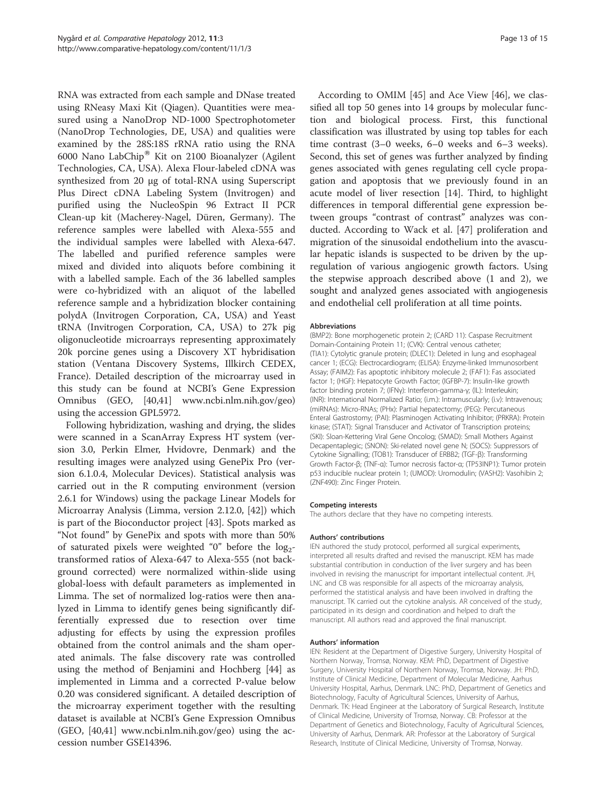RNA was extracted from each sample and DNase treated using RNeasy Maxi Kit (Qiagen). Quantities were measured using a NanoDrop ND-1000 Spectrophotometer (NanoDrop Technologies, DE, USA) and qualities were examined by the 28S:18S rRNA ratio using the RNA 6000 Nano LabChip<sup>®</sup> Kit on 2100 Bioanalyzer (Agilent Technologies, CA, USA). Alexa Flour-labeled cDNA was synthesized from 20 μg of total-RNA using Superscript Plus Direct cDNA Labeling System (Invitrogen) and purified using the NucleoSpin 96 Extract II PCR Clean-up kit (Macherey-Nagel, Düren, Germany). The reference samples were labelled with Alexa-555 and the individual samples were labelled with Alexa-647. The labelled and purified reference samples were mixed and divided into aliquots before combining it with a labelled sample. Each of the 36 labelled samples were co-hybridized with an aliquot of the labelled reference sample and a hybridization blocker containing polydA (Invitrogen Corporation, CA, USA) and Yeast tRNA (Invitrogen Corporation, CA, USA) to 27k pig oligonucleotide microarrays representing approximately 20k porcine genes using a Discovery XT hybridisation station (Ventana Discovery Systems, Illkirch CEDEX, France). Detailed description of the microarray used in this study can be found at NCBI's Gene Expression Omnibus (GEO, [\[40,41\]](#page-14-0) [www.ncbi.nlm.nih.gov/geo](http://www.ncbi.nlm.nih.gov/geo)) using the accession GPL5972.

Following hybridization, washing and drying, the slides were scanned in a ScanArray Express HT system (version 3.0, Perkin Elmer, Hvidovre, Denmark) and the resulting images were analyzed using GenePix Pro (version 6.1.0.4, Molecular Devices). Statistical analysis was carried out in the R computing environment (version 2.6.1 for Windows) using the package Linear Models for Microarray Analysis (Limma, version 2.12.0, [\[42](#page-14-0)]) which is part of the Bioconductor project [\[43\]](#page-14-0). Spots marked as "Not found" by GenePix and spots with more than 50% of saturated pixels were weighted "0" before the  $log_2$ transformed ratios of Alexa-647 to Alexa-555 (not background corrected) were normalized within-slide using global-loess with default parameters as implemented in Limma. The set of normalized log-ratios were then analyzed in Limma to identify genes being significantly differentially expressed due to resection over time adjusting for effects by using the expression profiles obtained from the control animals and the sham operated animals. The false discovery rate was controlled using the method of Benjamini and Hochberg [\[44](#page-14-0)] as implemented in Limma and a corrected P-value below 0.20 was considered significant. A detailed description of the microarray experiment together with the resulting dataset is available at NCBI's Gene Expression Omnibus (GEO, [[40,41\]](#page-14-0) [www.ncbi.nlm.nih.gov/geo](http://www.ncbi.nlm.nih.gov/geo)) using the accession number GSE14396.

According to OMIM [[45\]](#page-14-0) and Ace View [\[46](#page-14-0)], we classified all top 50 genes into 14 groups by molecular function and biological process. First, this functional classification was illustrated by using top tables for each time contrast (3–0 weeks, 6–0 weeks and 6–3 weeks). Second, this set of genes was further analyzed by finding genes associated with genes regulating cell cycle propagation and apoptosis that we previously found in an acute model of liver resection [\[14\]](#page-13-0). Third, to highlight differences in temporal differential gene expression between groups "contrast of contrast" analyzes was conducted. According to Wack et al. [\[47\]](#page-14-0) proliferation and migration of the sinusoidal endothelium into the avascular hepatic islands is suspected to be driven by the upregulation of various angiogenic growth factors. Using the stepwise approach described above (1 and 2), we sought and analyzed genes associated with angiogenesis and endothelial cell proliferation at all time points.

#### Abbreviations

(BMP2): Bone morphogenetic protein 2; (CARD 11): Caspase Recruitment Domain-Containing Protein 11; (CVK): Central venous catheter; (TIA1): Cytolytic granule protein; (DLEC1): Deleted in lung and esophageal cancer 1; (ECG): Electrocardiogram; (ELISA): Enzyme-linked Immunosorbent Assay; (FAIM2): Fas apoptotic inhibitory molecule 2; (FAF1): Fas associated factor 1; (HGF): Hepatocyte Growth Factor; (IGFBP-7): Insulin-like growth factor binding protein 7; (IFNγ): Interferon-gamma-γ; (IL): Interleukin; (INR): International Normalized Ratio; (i.m.): Intramuscularly; (i.v): Intravenous; (miRNAs): Micro-RNAs; (PHx): Partial hepatectomy; (PEG): Percutaneous Enteral Gastrostomy; (PAI): Plasminogen Activating Inhibitor; (PRKRA): Protein kinase; (STAT): Signal Transducer and Activator of Transcription proteins; (SKI): Sloan-Kettering Viral Gene Oncolog; (SMAD): Small Mothers Against Decapentaplegic; (SNON): Ski-related novel gene N; (SOCS): Suppressors of Cytokine Signalling; (TOB1): Transducer of ERBB2; (TGF-β): Transforming Growth Factor-β; (TNF-α): Tumor necrosis factor-α; (TP53INP1): Tumor protein p53 inducible nuclear protein 1; (UMOD): Uromodulin; (VASH2): Vasohibin 2; (ZNF490): Zinc Finger Protein.

#### Competing interests

The authors declare that they have no competing interests.

#### Authors' contributions

IEN authored the study protocol, performed all surgical experiments, interpreted all results drafted and revised the manuscript. KEM has made substantial contribution in conduction of the liver surgery and has been involved in revising the manuscript for important intellectual content. JH, LNC and CB was responsible for all aspects of the microarray analysis, performed the statistical analysis and have been involved in drafting the manuscript. TK carried out the cytokine analysis. AR conceived of the study, participated in its design and coordination and helped to draft the manuscript. All authors read and approved the final manuscript.

#### Authors' information

IEN: Resident at the Department of Digestive Surgery, University Hospital of Northern Norway, Tromsø, Norway. KEM: PhD, Department of Digestive Surgery, University Hospital of Northern Norway, Tromsø, Norway. JH: PhD, Institute of Clinical Medicine, Department of Molecular Medicine, Aarhus University Hospital, Aarhus, Denmark. LNC: PhD, Department of Genetics and Biotechnology, Faculty of Agricultural Sciences, University of Aarhus, Denmark. TK: Head Engineer at the Laboratory of Surgical Research, Institute of Clinical Medicine, University of Tromsø, Norway. CB: Professor at the Department of Genetics and Biotechnology, Faculty of Agricultural Sciences, University of Aarhus, Denmark. AR: Professor at the Laboratory of Surgical Research, Institute of Clinical Medicine, University of Tromsø, Norway.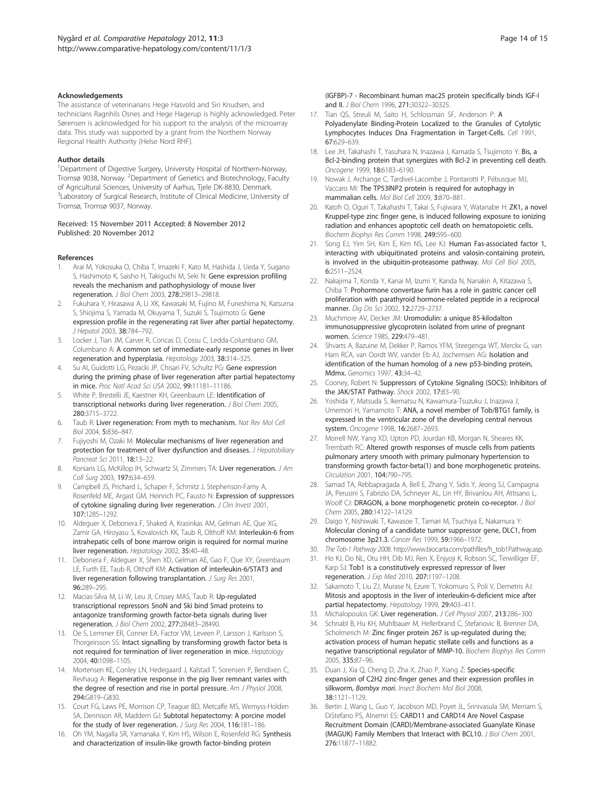#### <span id="page-13-0"></span>Acknowledgements

The assistance of veterinarians Hege Hasvold and Siri Knudsen, and technicians Ragnhils Osnes and Hege Hagerup is highly acknowledged. Peter Sørensen is acknowledged for his support to the analysis of the microarray data. This study was supported by a grant from the Northern Norway Regional Health Authority (Helse Nord RHF).

#### Author details

<sup>1</sup>Department of Digestive Surgery, University Hospital of Northern-Norway, Tromsø 9038, Norway. <sup>2</sup>Department of Genetics and Biotechnology, Faculty of Agricultural Sciences, University of Aarhus, Tjele DK-8830, Denmark. <sup>3</sup>Laboratory of Surgical Research, Institute of Clinical Medicine, University of Tromsø, Tromsø 9037, Norway.

#### Received: 15 November 2011 Accepted: 8 November 2012 Published: 20 November 2012

#### References

- 1. Arai M, Yokosuka O, Chiba T, Imazeki F, Kato M, Hashida J, Ueda Y, Sugano S, Hashimoto K, Saisho H, Takiguchi M, Seki N: Gene expression profiling reveals the mechanism and pathophysiology of mouse liver regeneration. J Biol Chem 2003, 278:29813–29818.
- 2. Fukuhara Y, Hirasawa A, Li XK, Kawasaki M, Fujino M, Funeshima N, Katsuma S, Shiojima S, Yamada M, Okuyama T, Suzuki S, Tsujimoto G: Gene expression profile in the regenerating rat liver after partial hepatectomy. J Hepatol 2003, 38:784–792.
- 3. Locker J, Tian JM, Carver R, Concas D, Cossu C, Ledda-Columbano GM, Columbano A: A common set of immediate-early response genes in liver regeneration and hyperplasia. Hepatology 2003, 38:314–325.
- 4. Su AI, Guidotti LG, Pezacki JP, Chisari FV, Schultz PG: Gene expression during the priming phase of liver regeneration after partial hepatectomy in mice. Proc Natl Acad Sci USA 2002, 99:11181–11186.
- 5. White P, Brestelli JE, Kaestner KH, Greenbaum LE: Identification of transcriptional networks during liver regeneration. J Biol Chem 2005, 280:3715–3722.
- 6. Taub R: Liver regeneration: From myth to mechanism. Nat Rev Mol Cell Biol 2004, 5:836–847.
- 7. Fujiyoshi M, Ozaki M: Molecular mechanisms of liver regeneration and protection for treatment of liver dysfunction and diseases. *J Hepatobiliary* Pancreat Sci 2011, 18:13–22.
- Koniaris LG, McKillop IH, Schwartz SI, Zimmers TA: Liver regeneration. J Am Coll Surg 2003, 197:634–659.
- 9. Campbell JS, Prichard L, Schaper F, Schmitz J, Stephenson-Famy A, Rosenfeld ME, Argast GM, Heinrich PC, Fausto N: Expression of suppressors of cytokine signaling during liver regeneration. J Clin Invest 2001, 107:1285–1292.
- 10. Aldeguer X, Debonera F, Shaked A, Krasinkas AM, Gelman AE, Que XG, Zamir GA, Hiroyasu S, Kovalovich KK, Taub R, Olthoff KM: Interleukin-6 from intrahepatic cells of bone marrow origin is required for normal murine liver regeneration. Hepatology 2002, 35:40–48.
- 11. Debonera F, Aldeguer X, Shen XD, Gelman AE, Gao F, Que XY, Greenbaum LE, Furth EE, Taub R, Olthoff KM: Activation of interleukin-6/STAT3 and liver regeneration following transplantation. J Surg Res 2001, 96:289–295.
- 12. Macias-Silva M, Li W, Leu JI, Crissey MAS, Taub R: Up-regulated transcriptional repressors SnoN and Ski bind Smad proteins to antagonize transforming growth factor-beta signals during liver regeneration. J Biol Chem 2002, 277:28483–28490.
- 13. Oe S, Lemmer ER, Conner EA, Factor VM, Leveen P, Larsson J, Karlsson S, Thorgeirsson SS: Intact signalling by transforming growth factor beta is not required for termination of liver regeneration in mice. Hepatology 2004, 40:1098–1105.
- 14. Mortensen KE, Conley LN, Hedegaard J, Kalstad T, Sorensen P, Bendixen C, Revhaug A: Regenerative response in the pig liver remnant varies with the degree of resection and rise in portal pressure. Am J Physiol 2008, 294:G819–G830.
- 15. Court FG, Laws PE, Morrison CP, Teague BD, Metcalfe MS, Wemyss-Holden SA, Dennison AR, Maddern GJ: Subtotal hepatectomy: A porcine model for the study of liver regeneration. J Surg Res 2004, 116:181-186.
- 16. Oh YM, Nagalla SR, Yamanaka Y, Kim HS, Wilson E, Rosenfeld RG: Synthesis and characterization of insulin-like growth factor-binding protein

(IGFBP)-7 - Recombinant human mac25 protein specifically binds IGF-I and II. J Biol Chem 1996, 271:30322–30325.

- 17. Tian QS, Streuli M, Saito H, Schlossman SF, Anderson P: A Polyadenylate Binding-Protein Localized to the Granules of Cytolytic Lymphocytes Induces Dna Fragmentation in Target-Cells. Cell 1991, 67:629–639.
- 18. Lee JH, Takahashi T, Yasuhara N, Inazawa J, Kamada S, Tsujimoto Y: Bis, a Bcl-2-binding protein that synergizes with Bcl-2 in preventing cell death. Oncogene 1999, 18:6183–6190.
- 19. Nowak J, Archange C, Tardivel-Lacombe J, Pontarotti P, Pébusque MJ, Vaccaro MI: The TP53INP2 protein is required for autophagy in mammalian cells. Mol Biol Cell 2009, 3:870-881.
- 20. Katoh O, Oguri T, Takahashi T, Takai S, Fujiwara Y, Watanabe H: ZK1, a novel Kruppel-type zinc finger gene, is induced following exposure to ionizing radiation and enhances apoptotic cell death on hematopoietic cells. Biochem Biophys Res Comm 1998, 249:595–600.
- 21. Song EJ, Yim SH, Kim E, Kim NS, Lee KJ: Human Fas-associated factor 1, interacting with ubiquitinated proteins and valosin-containing protein, is involved in the ubiquitin-proteasome pathway. Mol Cell Biol 2005, 6:2511–2524.
- 22. Nakajima T, Konda Y, Kanai M, Izumi Y, Kanda N, Nanakin A, Kitazawa S, Chiba T: Prohormone convertase furin has a role in gastric cancer cell proliferation with parathyroid hormone-related peptide in a reciprocal manner. Dig Dis Sci 2002, 12:2729–2737.
- 23. Muchmore AV, Decker JM: Uromodulin: a unique 85-kilodalton immunosuppressive glycoprotein isolated from urine of pregnant women. Science 1985, 229:479–481.
- 24. Shvarts A, Bazuine M, Dekker P, Ramos YFM, Steegenga WT, Merckx G, van Ham RCA, van Oordt WV, vander Eb AJ, Jochemsen AG: Isolation and identification of the human homolog of a new p53-binding protein, Mdmx. Genomics 1997, 43:34–42.
- 25. Cooney, Robert N: Suppressors of Cytokine Signaling (SOCS): Inhibitors of the JAK/STAT Pathway. Shock 2002, 17:83–90.
- 26. Yoshida Y, Matsuda S, Ikematsu N, Kawamura-Tsuzuku J, Inazawa J, Umemori H, Yamamoto T: ANA, a novel member of Tob/BTG1 family, is expressed in the ventricular zone of the developing central nervous system. Oncogene 1998, 16:2687–2693.
- 27. Morrell NW, Yang XD, Upton PD, Jourdan KB, Morgan N, Sheares KK, Trembath RC: Altered growth responses of muscle cells from patients pulmonary artery smooth with primary pulmonary hypertension to transforming growth factor-beta(1) and bone morphogenetic proteins. Circulation 2001, 104:790–795.
- 28. Samad TA, Rebbapragada A, Bell E, Zhang Y, Sidis Y, Jeong SJ, Campagna JA, Perusini S, Fabrizio DA, Schneyer AL, Lin HY, Brivanlou AH, Attisano L, Woolf CJ: DRAGON, a bone morphogenetic protein co-receptor. J Biol Chem 2005, 280:14122–14129.
- 29. Daigo Y, Nishiwaki T, Kawasoe T, Tamari M, Tsuchiya E, Nakamura Y: Molecular cloning of a candidate tumor suppressor gene, DLC1, from chromosome 3p21.3. Cancer Res 1999, 59:1966–1972.
- 30. The Tob-1 Pathway 2008. [http://www.biocarta.com/pathfiles/h\\_tob1Pathway.asp.](http://www.biocarta.com/pathfiles/h_tob1Pathway.asp)
- 31. Ho KJ, Do NL, Otu HH, Dib MJ, Ren X, Enjyoji K, Robson SC, Terwilliger EF, Karp SJ: Tob1 is a constitutively expressed repressor of liver regeneration. J Exp Med 2010, 207:1197–1208.
- 32. Sakamoto T, Liu ZJ, Murase N, Ezure T, Yokomuro S, Poli V, Demetris AJ: Mitosis and apoptosis in the liver of interleukin-6-deficient mice after partial hepatectomy. Hepatology 1999, 29:403-411
- 33. Michalopoulos GK: Liver regeneration. J Cell Physiol 2007, 213:286-300.
- 34. Schnabl B, Hu KH, Muhlbauer M, Hellerbrand C, Stefanovic B, Brenner DA, Scholmerich M: Zinc finger protein 267 is up-regulated during the; activation process of human hepatic stellate cells and functions as a negative transcriptional regulator of MMP-10. Biochem Biophys Res Comm 2005, 335:87–96.
- 35. Duan J, Xia Q, Cheng D, Zha X, Zhao P, Xiang Z: Species-specific expansion of C2H2 zinc-finger genes and their expression profiles in silkworm, Bombyx mori. Insect Biochem Mol Biol 2008, 38:1121–1129.
- 36. Bertin J, Wang L, Guo Y, Jacobson MD, Poyet JL, Srinivasula SM, Merriam S, DiStefano PS, Alnemri ES: CARD11 and CARD14 Are Novel Caspase Recruitment Domain (CARD)/Membrane-associated Guanylate Kinase (MAGUK) Family Members that Interact with BCL10. J Biol Chem 2001, 276:11877–11882.